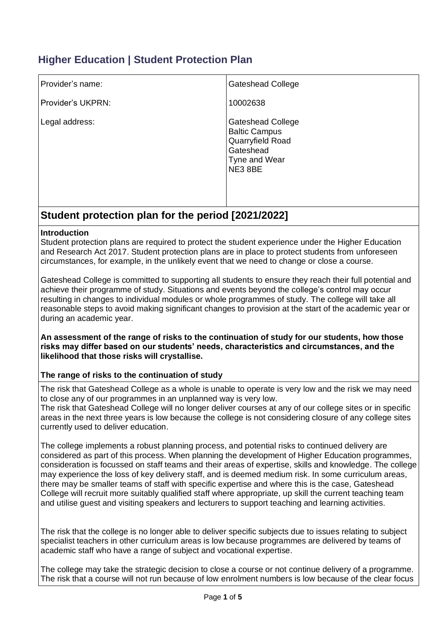# **Higher Education | Student Protection Plan**

| Provider's name:  | <b>Gateshead College</b>                                                                                      |
|-------------------|---------------------------------------------------------------------------------------------------------------|
| Provider's UKPRN: | 10002638                                                                                                      |
| Legal address:    | <b>Gateshead College</b><br><b>Baltic Campus</b><br>Quarryfield Road<br>Gateshead<br>Tyne and Wear<br>NE3 8BE |

# **Student protection plan for the period [2021/2022]**

#### **Introduction**

Student protection plans are required to protect the student experience under the Higher Education and Research Act 2017. Student protection plans are in place to protect students from unforeseen circumstances, for example, in the unlikely event that we need to change or close a course.

Gateshead College is committed to supporting all students to ensure they reach their full potential and achieve their programme of study. Situations and events beyond the college's control may occur resulting in changes to individual modules or whole programmes of study. The college will take all reasonable steps to avoid making significant changes to provision at the start of the academic year or during an academic year.

**An assessment of the range of risks to the continuation of study for our students, how those risks may differ based on our students' needs, characteristics and circumstances, and the likelihood that those risks will crystallise.** 

#### **The range of risks to the continuation of study**

The risk that Gateshead College as a whole is unable to operate is very low and the risk we may need to close any of our programmes in an unplanned way is very low.

The risk that Gateshead College will no longer deliver courses at any of our college sites or in specific areas in the next three years is low because the college is not considering closure of any college sites currently used to deliver education.

The college implements a robust planning process, and potential risks to continued delivery are considered as part of this process. When planning the development of Higher Education programmes, consideration is focussed on staff teams and their areas of expertise, skills and knowledge. The college may experience the loss of key delivery staff, and is deemed medium risk. In some curriculum areas, there may be smaller teams of staff with specific expertise and where this is the case, Gateshead College will recruit more suitably qualified staff where appropriate, up skill the current teaching team and utilise guest and visiting speakers and lecturers to support teaching and learning activities.

The risk that the college is no longer able to deliver specific subjects due to issues relating to subject specialist teachers in other curriculum areas is low because programmes are delivered by teams of academic staff who have a range of subject and vocational expertise.

The college may take the strategic decision to close a course or not continue delivery of a programme. The risk that a course will not run because of low enrolment numbers is low because of the clear focus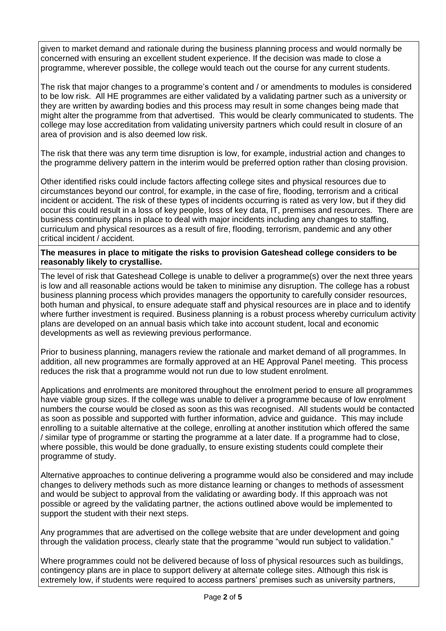given to market demand and rationale during the business planning process and would normally be concerned with ensuring an excellent student experience. If the decision was made to close a programme, wherever possible, the college would teach out the course for any current students.

The risk that major changes to a programme's content and / or amendments to modules is considered to be low risk. All HE programmes are either validated by a validating partner such as a university or they are written by awarding bodies and this process may result in some changes being made that might alter the programme from that advertised. This would be clearly communicated to students. The college may lose accreditation from validating university partners which could result in closure of an area of provision and is also deemed low risk.

The risk that there was any term time disruption is low, for example, industrial action and changes to the programme delivery pattern in the interim would be preferred option rather than closing provision.

Other identified risks could include factors affecting college sites and physical resources due to circumstances beyond our control, for example, in the case of fire, flooding, terrorism and a critical incident or accident. The risk of these types of incidents occurring is rated as very low, but if they did occur this could result in a loss of key people, loss of key data, IT, premises and resources. There are business continuity plans in place to deal with major incidents including any changes to staffing, curriculum and physical resources as a result of fire, flooding, terrorism, pandemic and any other critical incident / accident.

### **The measures in place to mitigate the risks to provision Gateshead college considers to be reasonably likely to crystallise.**

The level of risk that Gateshead College is unable to deliver a programme(s) over the next three years is low and all reasonable actions would be taken to minimise any disruption. The college has a robust business planning process which provides managers the opportunity to carefully consider resources, both human and physical, to ensure adequate staff and physical resources are in place and to identify where further investment is required. Business planning is a robust process whereby curriculum activity plans are developed on an annual basis which take into account student, local and economic developments as well as reviewing previous performance.

Prior to business planning, managers review the rationale and market demand of all programmes. In addition, all new programmes are formally approved at an HE Approval Panel meeting. This process reduces the risk that a programme would not run due to low student enrolment.

Applications and enrolments are monitored throughout the enrolment period to ensure all programmes have viable group sizes. If the college was unable to deliver a programme because of low enrolment numbers the course would be closed as soon as this was recognised. All students would be contacted as soon as possible and supported with further information, advice and guidance. This may include enrolling to a suitable alternative at the college, enrolling at another institution which offered the same / similar type of programme or starting the programme at a later date. If a programme had to close, where possible, this would be done gradually, to ensure existing students could complete their programme of study.

Alternative approaches to continue delivering a programme would also be considered and may include changes to delivery methods such as more distance learning or changes to methods of assessment and would be subject to approval from the validating or awarding body. If this approach was not possible or agreed by the validating partner, the actions outlined above would be implemented to support the student with their next steps.

Any programmes that are advertised on the college website that are under development and going through the validation process, clearly state that the programme "would run subject to validation."

Where programmes could not be delivered because of loss of physical resources such as buildings, contingency plans are in place to support delivery at alternate college sites. Although this risk is extremely low, if students were required to access partners' premises such as university partners,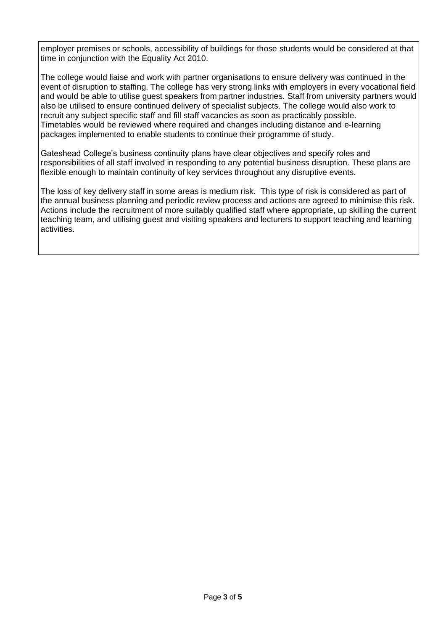employer premises or schools, accessibility of buildings for those students would be considered at that time in conjunction with the Equality Act 2010.

The college would liaise and work with partner organisations to ensure delivery was continued in the event of disruption to staffing. The college has very strong links with employers in every vocational field and would be able to utilise guest speakers from partner industries. Staff from university partners would also be utilised to ensure continued delivery of specialist subjects. The college would also work to recruit any subject specific staff and fill staff vacancies as soon as practicably possible. Timetables would be reviewed where required and changes including distance and e-learning packages implemented to enable students to continue their programme of study.

Gateshead College's business continuity plans have clear objectives and specify roles and responsibilities of all staff involved in responding to any potential business disruption. These plans are flexible enough to maintain continuity of key services throughout any disruptive events.

The loss of key delivery staff in some areas is medium risk. This type of risk is considered as part of the annual business planning and periodic review process and actions are agreed to minimise this risk. Actions include the recruitment of more suitably qualified staff where appropriate, up skilling the current teaching team, and utilising guest and visiting speakers and lecturers to support teaching and learning activities.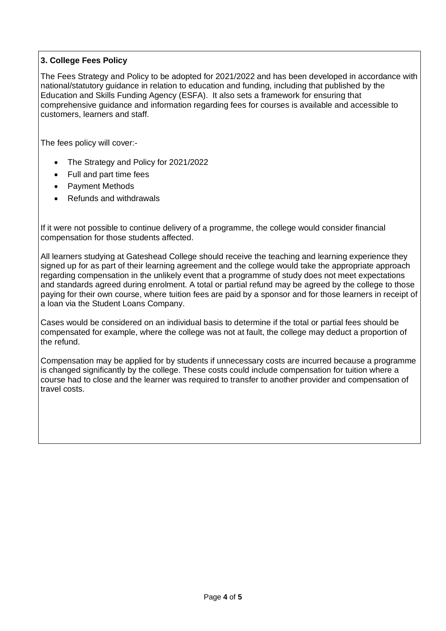## **3. College Fees Policy**

The Fees Strategy and Policy to be adopted for 2021/2022 and has been developed in accordance with national/statutory guidance in relation to education and funding, including that published by the Education and Skills Funding Agency (ESFA). It also sets a framework for ensuring that comprehensive guidance and information regarding fees for courses is available and accessible to customers, learners and staff.

The fees policy will cover:-

- The Strategy and Policy for 2021/2022
- Full and part time fees
- Payment Methods
- Refunds and withdrawals

If it were not possible to continue delivery of a programme, the college would consider financial compensation for those students affected.

All learners studying at Gateshead College should receive the teaching and learning experience they signed up for as part of their learning agreement and the college would take the appropriate approach regarding compensation in the unlikely event that a programme of study does not meet expectations and standards agreed during enrolment. A total or partial refund may be agreed by the college to those paying for their own course, where tuition fees are paid by a sponsor and for those learners in receipt of a loan via the Student Loans Company.

Cases would be considered on an individual basis to determine if the total or partial fees should be compensated for example, where the college was not at fault, the college may deduct a proportion of the refund.

Compensation may be applied for by students if unnecessary costs are incurred because a programme is changed significantly by the college. These costs could include compensation for tuition where a course had to close and the learner was required to transfer to another provider and compensation of travel costs.